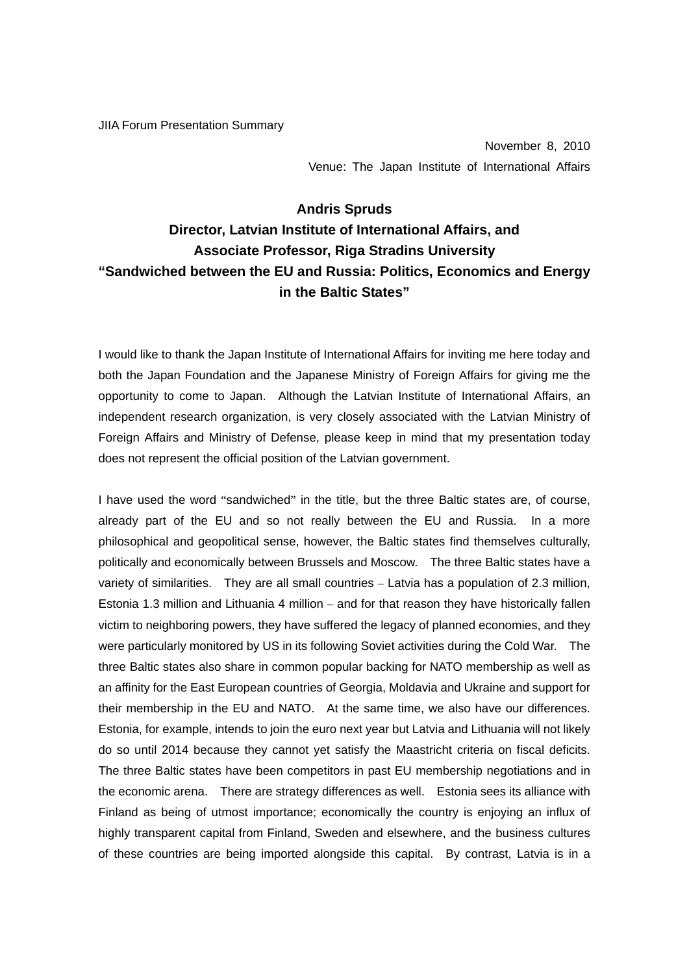JIIA Forum Presentation Summary

November 8, 2010 Venue: The Japan Institute of International Affairs

## **Andris Spruds Director, Latvian Institute of International Affairs, and Associate Professor, Riga Stradins University "Sandwiched between the EU and Russia: Politics, Economics and Energy in the Baltic States"**

I would like to thank the Japan Institute of International Affairs for inviting me here today and both the Japan Foundation and the Japanese Ministry of Foreign Affairs for giving me the opportunity to come to Japan. Although the Latvian Institute of International Affairs, an independent research organization, is very closely associated with the Latvian Ministry of Foreign Affairs and Ministry of Defense, please keep in mind that my presentation today does not represent the official position of the Latvian government.

I have used the word "sandwiched" in the title, but the three Baltic states are, of course, already part of the EU and so not really between the EU and Russia. In a more philosophical and geopolitical sense, however, the Baltic states find themselves culturally, politically and economically between Brussels and Moscow. The three Baltic states have a variety of similarities. They are all small countries – Latvia has a population of 2.3 million, Estonia 1.3 million and Lithuania 4 million – and for that reason they have historically fallen victim to neighboring powers, they have suffered the legacy of planned economies, and they were particularly monitored by US in its following Soviet activities during the Cold War. The three Baltic states also share in common popular backing for NATO membership as well as an affinity for the East European countries of Georgia, Moldavia and Ukraine and support for their membership in the EU and NATO. At the same time, we also have our differences. Estonia, for example, intends to join the euro next year but Latvia and Lithuania will not likely do so until 2014 because they cannot yet satisfy the Maastricht criteria on fiscal deficits. The three Baltic states have been competitors in past EU membership negotiations and in the economic arena. There are strategy differences as well. Estonia sees its alliance with Finland as being of utmost importance; economically the country is enjoying an influx of highly transparent capital from Finland, Sweden and elsewhere, and the business cultures of these countries are being imported alongside this capital. By contrast, Latvia is in a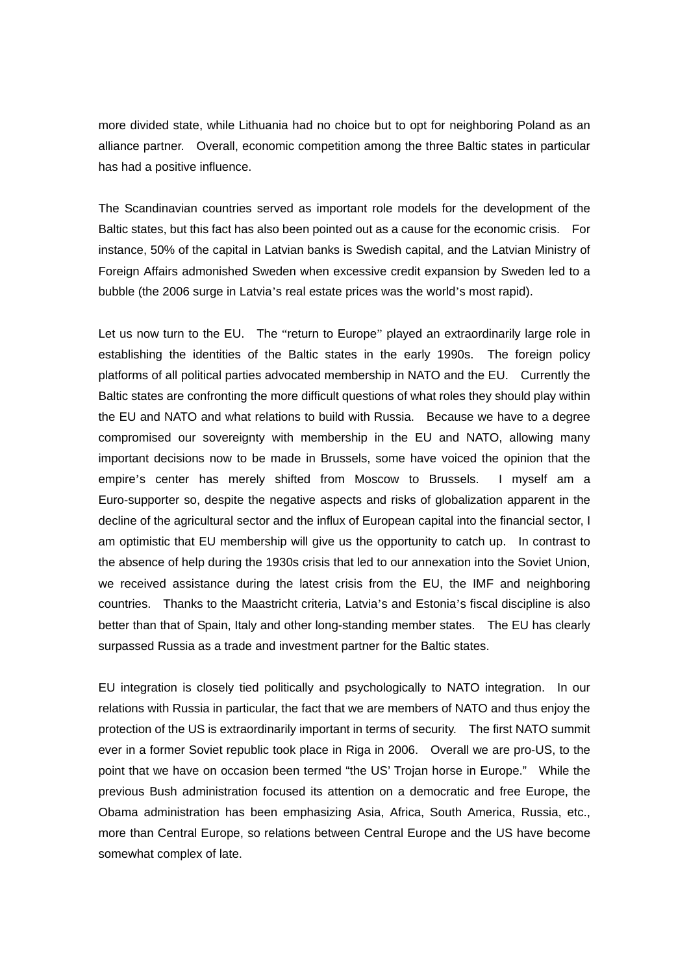more divided state, while Lithuania had no choice but to opt for neighboring Poland as an alliance partner. Overall, economic competition among the three Baltic states in particular has had a positive influence.

The Scandinavian countries served as important role models for the development of the Baltic states, but this fact has also been pointed out as a cause for the economic crisis. For instance, 50% of the capital in Latvian banks is Swedish capital, and the Latvian Ministry of Foreign Affairs admonished Sweden when excessive credit expansion by Sweden led to a bubble (the 2006 surge in Latvia's real estate prices was the world's most rapid).

Let us now turn to the EU. The "return to Europe" played an extraordinarily large role in establishing the identities of the Baltic states in the early 1990s. The foreign policy platforms of all political parties advocated membership in NATO and the EU. Currently the Baltic states are confronting the more difficult questions of what roles they should play within the EU and NATO and what relations to build with Russia. Because we have to a degree compromised our sovereignty with membership in the EU and NATO, allowing many important decisions now to be made in Brussels, some have voiced the opinion that the empire's center has merely shifted from Moscow to Brussels. I myself am a Euro-supporter so, despite the negative aspects and risks of globalization apparent in the decline of the agricultural sector and the influx of European capital into the financial sector, I am optimistic that EU membership will give us the opportunity to catch up. In contrast to the absence of help during the 1930s crisis that led to our annexation into the Soviet Union, we received assistance during the latest crisis from the EU, the IMF and neighboring countries. Thanks to the Maastricht criteria, Latvia's and Estonia's fiscal discipline is also better than that of Spain, Italy and other long-standing member states. The EU has clearly surpassed Russia as a trade and investment partner for the Baltic states.

EU integration is closely tied politically and psychologically to NATO integration. In our relations with Russia in particular, the fact that we are members of NATO and thus enjoy the protection of the US is extraordinarily important in terms of security. The first NATO summit ever in a former Soviet republic took place in Riga in 2006. Overall we are pro-US, to the point that we have on occasion been termed "the US' Trojan horse in Europe." While the previous Bush administration focused its attention on a democratic and free Europe, the Obama administration has been emphasizing Asia, Africa, South America, Russia, etc., more than Central Europe, so relations between Central Europe and the US have become somewhat complex of late.